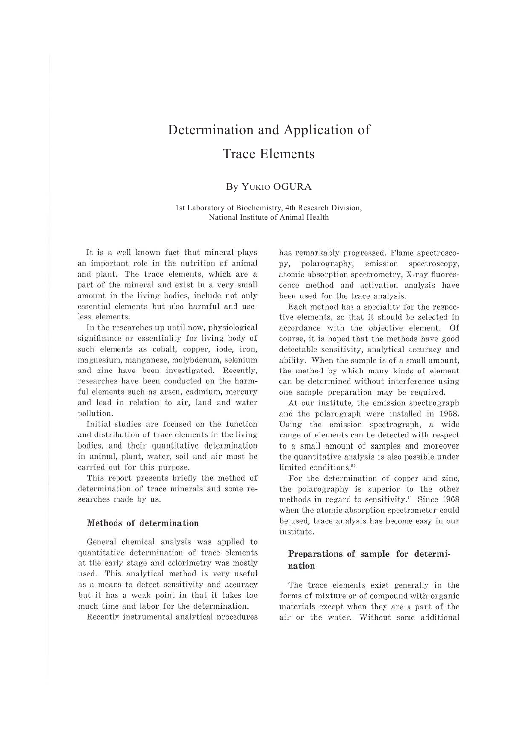# Determination and Application of Trace Elements

# By YUKIO OGURA

1st Laboratory of Biochemistry, 4th Research Division, National Institute of Animal Health

It is a well known fact that mineral plays an important role in the nutrition of animal and plant. The trace elements, which are a part of the mineral and exist in a very small amount in the living bodies, include not only essential elements but also harmful and useless elements.

In the researches up until now, physiological significance or essentiality for living body of such elements as cobalt, copper, iode, iron, magnesium, manganese, molybdenum, selenium and zinc have been investigated. Recently, researches have been conducted on the harmful elements such as arsen, cadmium, mercury and lead in relation to air, land and water pollu tion.

Initial studies are focused on the function and distribution of trace elements in the living bodies, and their quantitative determination in animal, plant, water, soil and air must be carried out for this purpose.

This report presents briefly the method of determination of trace minerals and some researches made by us.

## **Methods of determination**

General chemical analysis was applied to quantitative determination of trace elements at the early stage and colorimetry was mostly used. This analytical method is very useful as a means to detect sensitivity and accuracy but it has a weak point in that it takes too much time and labor for the determination.

Recently instrumental analytical procedures

has remarkably progressed. Flame spectroscopy, polarography, emission spectroscopy, atomic absorption spectrometry, X-ray fluorescence method and activation analysis have been used for the trace analysis.

Each method has a speciality for the respective elements, so that it should be selected in accordance with the objective element. Of course, it is hoped that the methods have good detectable sensitivity, analytical accuracy and ability. When the sample is of a small amount, the method by which many kinds of element can be determined without interference using one sample preparation may be required.

At our institute, the emission spectrograph and the polarograph were installed in 1958. Using the emission spectrograph, a wide range of elements can be detected with respect to a small amount of samples and moreover the quantitative analysis is also possible under limited conditions.<sup>2)</sup>

For the determination of copper and zinc, the polarography is superior to the other methods in regard to sensitivity.<sup>1)</sup> Since 1968 when the atomic absorption spectrometer could be used, trace analysis has become easy in our institute.

## **Preparations of sample for determination**

The trace elements exist generally in the forms of mixture or of compound with organic materials except when they are a part of the air or the water. Without some additional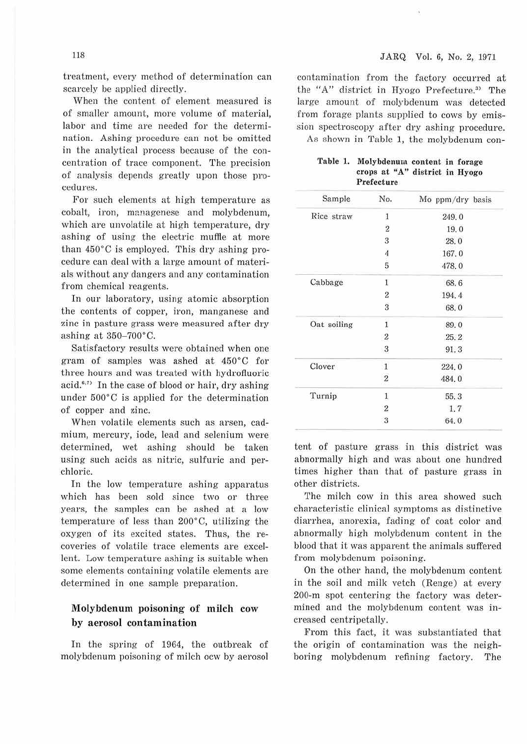treatment, every method of determination can scarcely be applied directly.

When the content of element measured is of smaller amount, more volume of material, labor and time are needed for the determination. Ashing procedure can not be omitted in the analytical process because of the concentration of trace component. The precision of analysis depends greatly upon those procedures.

For such elements at high temperature as cobalt, iron, managenese and molybdenum, which are unvolatile at high temperature, dry ashing of using the electric muffle at more than 450°C is employed. This dry ashing procedure can deal with a large amount of materials without any dangers and any contamination from chemical reagents.

In our laboratory, using atomic absorption the contents of copper, iron, manganese and zinc in pasture grass were measured after dry ashing at  $350-700$ °C.

Satisfactory results were obtained when one gram of samples was ashed at 450°C for three hours and was treated with hydrofluoric acid.<sup>6,7)</sup> In the case of blood or hair, dry ashing under 500°C is applied for the determination of copper and zinc.

When volatile elements such as arsen, cadmium, mercury, iode, lead and selenium were determined, wet ashing should be taken using such acids as nitric, sulfuric and perchloric.

In the low temperature ashing apparatus which has been sold since two or three years, the samples can be ashed at a low temperature of less than 2oo·c, utilizing the oxygen of its excited states. Thus, the recoveries of volatile trace elements are excellent. Low temperature ashing is suitable when some elements containing volatile elements are determined in one sample preparation.

## Molybdenum poisoning- of milch cow by aerosol contamination

In the spring of 1964, the outbreak of molybdenum poisoning of milch ocw by aerosol

contamination from the factory occurred at the "A" district in Hyogo Prefecture.3i The large amount of molybdenum was detected from forage plants supplied to cows by emission spectroscopy after dry ashing procedure.

As shown in Table 1, the molybdenum con-

| Table 1. | Molybdenum content in forage |  |  |                                |  |  |
|----------|------------------------------|--|--|--------------------------------|--|--|
|          |                              |  |  | crops at "A" district in Hyogo |  |  |
|          | Prefecture                   |  |  |                                |  |  |

| Sample      | No.                     | Mo ppm/dry basis |
|-------------|-------------------------|------------------|
| Rice straw  | 1                       | 249.0            |
|             | $\overline{2}$          | 19.0             |
|             | 3                       | 28.0             |
|             | $\overline{4}$          | 167.0            |
|             | 5                       | 478.0            |
| Cabbage     | 1                       | 68.6             |
|             | $\overline{2}$          | 194.4            |
|             | 3                       | 68.0             |
| Oat soiling | $\mathbf{1}$            | 89.0             |
|             | $\overline{\mathbf{2}}$ | 25.2             |
|             | $\sqrt{3}$              | 91.3             |
| Clover      | $\mathbf{1}$            | 224.0            |
|             | $\overline{\mathbf{2}}$ | 484.0            |
| Turnip      | 1                       | 55.3             |
|             | $\boldsymbol{2}$        | 1, 7             |
|             | 3                       | 64.0             |

tent of pasture grass in this district was abnormally high and was about one hundred times higher than that of pasture grass in other districts.

The milch cow in this area showed such characteristic clinical symptoms as distinctive diarrhea, anorexia, fading of coat color and abnormally high molybdenum content in the blood that it was apparent the animals suffered from molybdenum poisoning.

On the other hand, the molybdenum content in the soil and milk vetch (Renge) at every 200-m spot centering the factory was determined and the molybdenum content was increased centripetally.

From this fact, it was substantiated that the origin of contamination was the neighboring molybdenum refining factory. The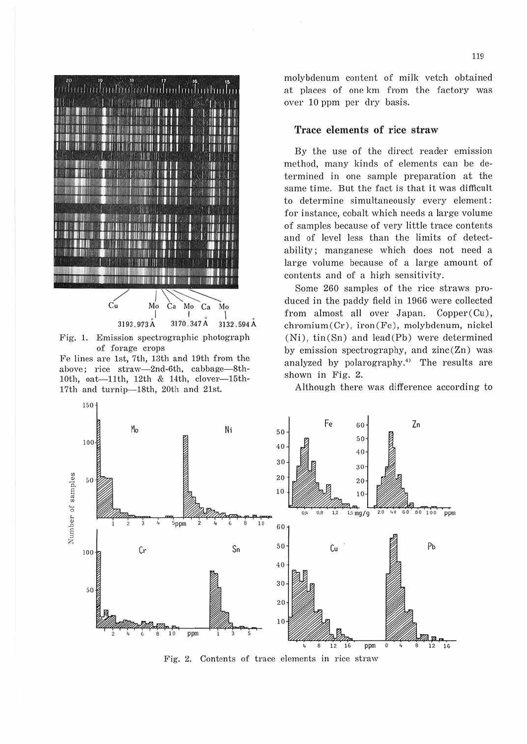

Fig. 1. Emission spectrographic photograph of forage crops

Fe lines are 1st, 7th, 13th and 19th from the above; rice straw-2nd-6th, cabbage-8th-10th, oat-11th, 12th & 14th, clover-15th-17th and turnip-18th, 20th and 21st.

150

molybdenum content of milk vetch obtained at places of one km from the factory was over 10 ppm per dry basis.

## Trace elements of rice straw

By the use of the direct reader emission method, many kinds of elements can be determined in one sample preparation at the same time. But the fact is that it was difficult to determine simultaneously every element: for instance, cobalt which needs a large volume of samples because of very little trace contents and of level less than the limits of detectability; manganese which does not need a large volume because of a large amount of contents and of a high sensitivity.

Some 260 samples of the rice straws produced in the paddy field in 1966 were collected from almost all over Japan. Copper(Cu), chromium(Cr), iron(Fe), molybdenum, nickel (Ni), tin(Sn) and lead(Pb) were determined by emission spectrography, and zinc(Zn) was analyzed by polarography.<sup>4)</sup> The results are shown in Fig. 2.

Although there was difference according to



Fig. 2. Contents of trace elements in rice straw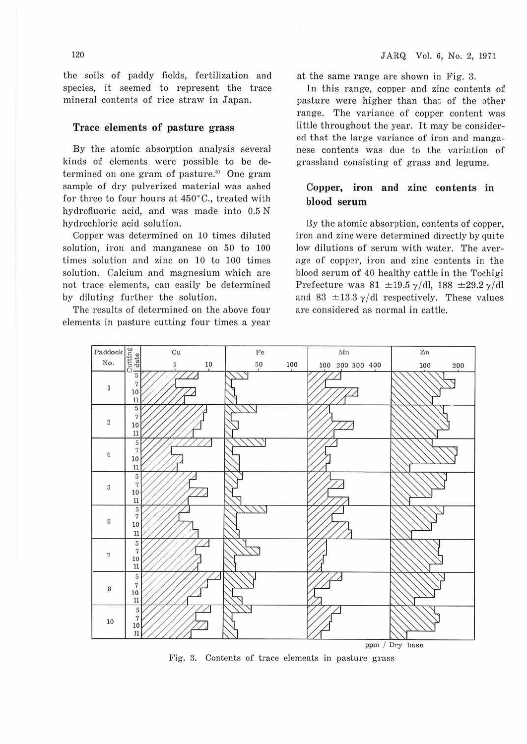the soils of paddy fields, fertilization and species, it seemed to represent the trace mineral contents of rice straw in Japan.

#### **Trace elements of pasture grass**

By the atomic absorption analysis several kinds of elements were possible to be determined on one gram of pasture. $^{57}$  One gram sample of dry pulverized material was ashed for three to four hours at 450°C., treated with hydrofluoric acid, and was made into 0.5 N hydrochloric acid solution.

Copper was determined on 10 times diluted solution, iron and manganese on 50 to 100 times solution and zinc on 10 to 100 times solution. Calcium and magnesium which are not trace elements, can easily be determined by diluting further the solution.

The results of determined on the above four elements in pasture cutting four times a year at the same range are shown in Fig. 3.

In this range, copper and zinc contents of pasture were higher than that of the other range. The variance of copper content was little throughout the year. It may be considered that the large variance of iron and manganese contents was due to the variation of grassland consisting of grass and legume.

## **Copper, iron and zinc contents** in **blood serum**

By the atomic absorption, contents of copper, iron and zinc were determined directly by quite low dilutions of serum with water. The average of copper, iron and zinc contents in the blood serum of 40 healthy cattle in the Tochigi Prefecture was 81  $\pm$ 19.5  $\gamma$ /dl, 188  $\pm$ 29.2  $\gamma$ /dl and 83  $\pm$ 13.3  $\gamma$ /dl respectively. These values are considered as normal in cattle.



Fig. 3. Contents of trace elements in pasture grass